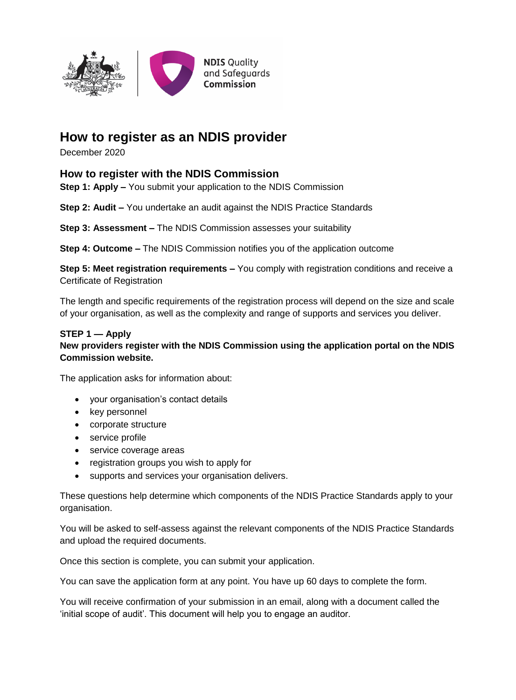

# **How to register as an NDIS provider**

December 2020

## **How to register with the NDIS Commission**

**Step 1: Apply –** You submit your application to the NDIS Commission

**Step 2: Audit –** You undertake an audit against the NDIS Practice Standards

**Step 3: Assessment –** The NDIS Commission assesses your suitability

**Step 4: Outcome –** The NDIS Commission notifies you of the application outcome

**Step 5: Meet registration requirements –** You comply with registration conditions and receive a Certificate of Registration

The length and specific requirements of the registration process will depend on the size and scale of your organisation, as well as the complexity and range of supports and services you deliver.

#### **STEP 1 — Apply**

#### **New providers register with the NDIS Commission using the application portal on the NDIS Commission website.**

The application asks for information about:

- your organisation's contact details
- key personnel
- corporate structure
- service profile
- service coverage areas
- registration groups you wish to apply for
- supports and services your organisation delivers.

These questions help determine which components of the NDIS Practice Standards apply to your organisation.

You will be asked to self-assess against the relevant components of the NDIS Practice Standards and upload the required documents.

Once this section is complete, you can submit your application.

You can save the application form at any point. You have up 60 days to complete the form.

You will receive confirmation of your submission in an email, along with a document called the 'initial scope of audit'. This document will help you to engage an auditor.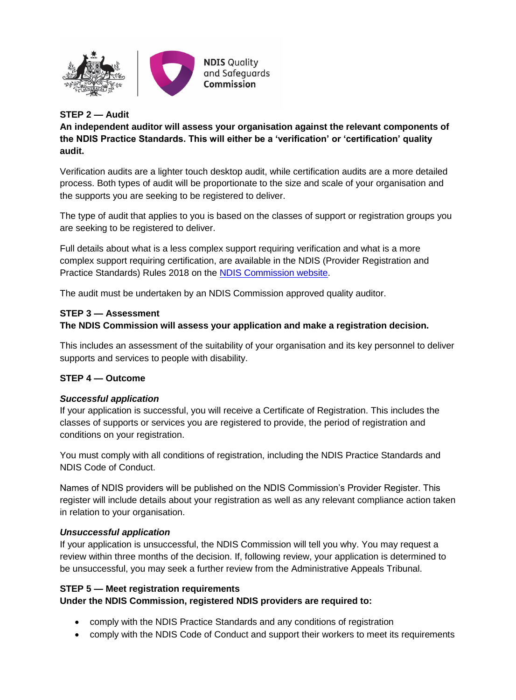

#### **STEP 2 — Audit**

**An independent auditor will assess your organisation against the relevant components of the NDIS Practice Standards. This will either be a 'verification' or 'certification' quality audit.** 

Verification audits are a lighter touch desktop audit, while certification audits are a more detailed process. Both types of audit will be proportionate to the size and scale of your organisation and the supports you are seeking to be registered to deliver.

The type of audit that applies to you is based on the classes of support or registration groups you are seeking to be registered to deliver.

Full details about what is a less complex support requiring verification and what is a more complex support requiring certification, are available in the NDIS (Provider Registration and Practice Standards) Rules 2018 on the [NDIS Commission website.](http://www.ndiscommission.gov.au/about/legislation-rules-policies)

The audit must be undertaken by an NDIS Commission approved quality auditor.

#### **STEP 3 — Assessment**

#### **The NDIS Commission will assess your application and make a registration decision.**

This includes an assessment of the suitability of your organisation and its key personnel to deliver supports and services to people with disability.

#### **STEP 4 — Outcome**

#### *Successful application*

If your application is successful, you will receive a Certificate of Registration. This includes the classes of supports or services you are registered to provide, the period of registration and conditions on your registration.

You must comply with all conditions of registration, including the NDIS Practice Standards and NDIS Code of Conduct.

Names of NDIS providers will be published on the NDIS Commission's Provider Register. This register will include details about your registration as well as any relevant compliance action taken in relation to your organisation.

#### *Unsuccessful application*

If your application is unsuccessful, the NDIS Commission will tell you why. You may request a review within three months of the decision. If, following review, your application is determined to be unsuccessful, you may seek a further review from the Administrative Appeals Tribunal.

## **STEP 5 — Meet registration requirements**

## **Under the NDIS Commission, registered NDIS providers are required to:**

- comply with the NDIS Practice Standards and any conditions of registration
- comply with the NDIS Code of Conduct and support their workers to meet its requirements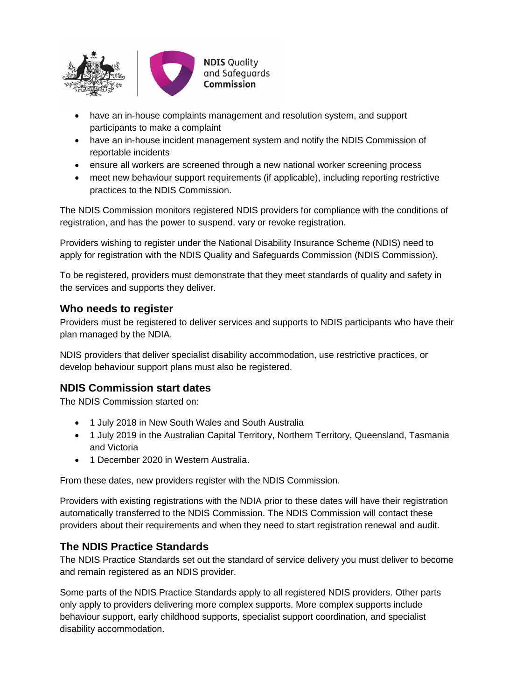

- have an in-house complaints management and resolution system, and support participants to make a complaint
- have an in-house incident management system and notify the NDIS Commission of reportable incidents
- ensure all workers are screened through a new national worker screening process
- meet new behaviour support requirements (if applicable), including reporting restrictive practices to the NDIS Commission.

The NDIS Commission monitors registered NDIS providers for compliance with the conditions of registration, and has the power to suspend, vary or revoke registration.

Providers wishing to register under the National Disability Insurance Scheme (NDIS) need to apply for registration with the NDIS Quality and Safeguards Commission (NDIS Commission).

To be registered, providers must demonstrate that they meet standards of quality and safety in the services and supports they deliver.

## **Who needs to register**

Providers must be registered to deliver services and supports to NDIS participants who have their plan managed by the NDIA.

NDIS providers that deliver specialist disability accommodation, use restrictive practices, or develop behaviour support plans must also be registered.

# **NDIS Commission start dates**

The NDIS Commission started on:

- 1 July 2018 in New South Wales and South Australia
- 1 July 2019 in the Australian Capital Territory, Northern Territory, Queensland, Tasmania and Victoria
- 1 December 2020 in Western Australia.

From these dates, new providers register with the NDIS Commission.

Providers with existing registrations with the NDIA prior to these dates will have their registration automatically transferred to the NDIS Commission. The NDIS Commission will contact these providers about their requirements and when they need to start registration renewal and audit.

# **The NDIS Practice Standards**

The NDIS Practice Standards set out the standard of service delivery you must deliver to become and remain registered as an NDIS provider.

Some parts of the NDIS Practice Standards apply to all registered NDIS providers. Other parts only apply to providers delivering more complex supports. More complex supports include behaviour support, early childhood supports, specialist support coordination, and specialist disability accommodation.